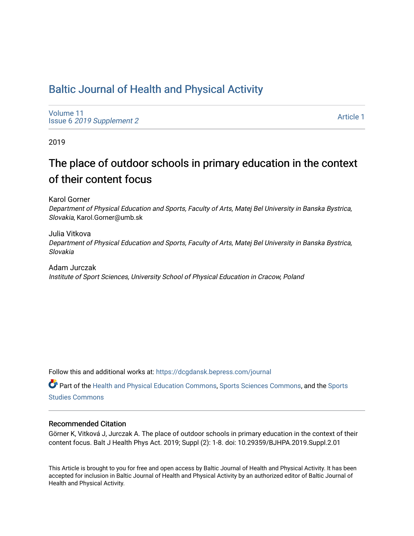## [Baltic Journal of Health and Physical Activity](https://dcgdansk.bepress.com/journal)

[Volume 11](https://dcgdansk.bepress.com/journal/vol11) Issue 6 [2019 Supplement 2](https://dcgdansk.bepress.com/journal/vol11/iss6) 

[Article 1](https://dcgdansk.bepress.com/journal/vol11/iss6/1) 

2019

# The place of outdoor schools in primary education in the context of their content focus

Karol Gorner

Department of Physical Education and Sports, Faculty of Arts, Matej Bel University in Banska Bystrica, Slovakia, Karol.Gorner@umb.sk

Julia Vitkova Department of Physical Education and Sports, Faculty of Arts, Matej Bel University in Banska Bystrica, Slovakia

Adam Jurczak Institute of Sport Sciences, University School of Physical Education in Cracow, Poland

Follow this and additional works at: [https://dcgdansk.bepress.com/journal](https://dcgdansk.bepress.com/journal?utm_source=dcgdansk.bepress.com%2Fjournal%2Fvol11%2Fiss6%2F1&utm_medium=PDF&utm_campaign=PDFCoverPages)

Part of the [Health and Physical Education Commons](http://network.bepress.com/hgg/discipline/1327?utm_source=dcgdansk.bepress.com%2Fjournal%2Fvol11%2Fiss6%2F1&utm_medium=PDF&utm_campaign=PDFCoverPages), [Sports Sciences Commons](http://network.bepress.com/hgg/discipline/759?utm_source=dcgdansk.bepress.com%2Fjournal%2Fvol11%2Fiss6%2F1&utm_medium=PDF&utm_campaign=PDFCoverPages), and the [Sports](http://network.bepress.com/hgg/discipline/1198?utm_source=dcgdansk.bepress.com%2Fjournal%2Fvol11%2Fiss6%2F1&utm_medium=PDF&utm_campaign=PDFCoverPages)  [Studies Commons](http://network.bepress.com/hgg/discipline/1198?utm_source=dcgdansk.bepress.com%2Fjournal%2Fvol11%2Fiss6%2F1&utm_medium=PDF&utm_campaign=PDFCoverPages) 

### Recommended Citation

Görner K, Vitková J, Jurczak A. The place of outdoor schools in primary education in the context of their content focus. Balt J Health Phys Act. 2019; Suppl (2): 1-8. doi: 10.29359/BJHPA.2019.Suppl.2.01

This Article is brought to you for free and open access by Baltic Journal of Health and Physical Activity. It has been accepted for inclusion in Baltic Journal of Health and Physical Activity by an authorized editor of Baltic Journal of Health and Physical Activity.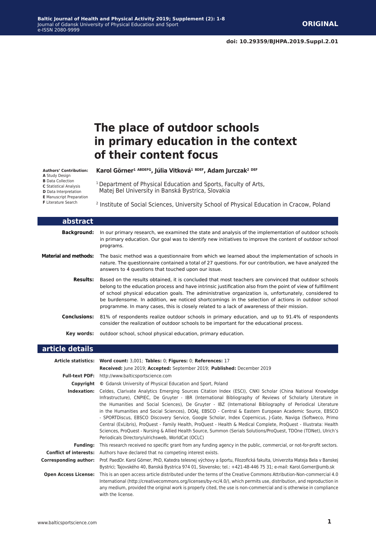# **The place of outdoor schools in primary education in the context of their content focus**

**Karol Görner1 ABDEFG, Júlia Vitková1 BDEF, Adam Jurczak2 DEF**

Matej Bel University in Banská Bystrica, Slovakia

<sup>1</sup> Department of Physical Education and Sports, Faculty of Arts,

#### **Authors' Contribution:**

- **A** Study Design **B** Data Collection
- **C** Statistical Analysis

**D** Data Interpretation

- **E** Manuscript Preparation
- **F** Literature Search

2 Institute of Social Sciences, University School of Physical Education in Cracow, Poland

| abstract                     |                                                                                                                                                                                                                                                                                                                                                                                                                                                                                                                                |
|------------------------------|--------------------------------------------------------------------------------------------------------------------------------------------------------------------------------------------------------------------------------------------------------------------------------------------------------------------------------------------------------------------------------------------------------------------------------------------------------------------------------------------------------------------------------|
| <b>Background:</b>           | In our primary research, we examined the state and analysis of the implementation of outdoor schools<br>in primary education. Our goal was to identify new initiatives to improve the content of outdoor school<br>programs.                                                                                                                                                                                                                                                                                                   |
| <b>Material and methods:</b> | The basic method was a questionnaire from which we learned about the implementation of schools in<br>nature. The questionnaire contained a total of 27 questions. For our contribution, we have analyzed the<br>answers to 4 questions that touched upon our issue.                                                                                                                                                                                                                                                            |
| <b>Results:</b>              | Based on the results obtained, it is concluded that most teachers are convinced that outdoor schools<br>belong to the education process and have intrinsic justification also from the point of view of fulfillment<br>of school physical education goals. The administrative organization is, unfortunately, considered to<br>be burdensome. In addition, we noticed shortcomings in the selection of actions in outdoor school<br>programme. In many cases, this is closely related to a lack of awareness of their mission. |
| <b>Conclusions:</b>          | 81% of respondents realize outdoor schools in primary education, and up to 91.4% of respondents<br>consider the realization of outdoor schools to be important for the educational process.                                                                                                                                                                                                                                                                                                                                    |
| Key words:                   | outdoor school, school physical education, primary education.                                                                                                                                                                                                                                                                                                                                                                                                                                                                  |

### **article details**

|                               | Article statistics: Word count: 3,001; Tables: 0; Figures: 0; References: 17                                                                                                                                                                                                                                                                                                                                                                                                                                                                                                                                                                                                                                                                                                                                                                                  |
|-------------------------------|---------------------------------------------------------------------------------------------------------------------------------------------------------------------------------------------------------------------------------------------------------------------------------------------------------------------------------------------------------------------------------------------------------------------------------------------------------------------------------------------------------------------------------------------------------------------------------------------------------------------------------------------------------------------------------------------------------------------------------------------------------------------------------------------------------------------------------------------------------------|
|                               | Received: June 2019; Accepted: September 2019; Published: December 2019                                                                                                                                                                                                                                                                                                                                                                                                                                                                                                                                                                                                                                                                                                                                                                                       |
|                               | <b>Full-text PDF:</b> http://www.balticsportscience.com                                                                                                                                                                                                                                                                                                                                                                                                                                                                                                                                                                                                                                                                                                                                                                                                       |
| Copyright                     | © Gdansk University of Physical Education and Sport, Poland                                                                                                                                                                                                                                                                                                                                                                                                                                                                                                                                                                                                                                                                                                                                                                                                   |
| Indexation:                   | Celdes, Clarivate Analytics Emerging Sources Citation Index (ESCI), CNKI Scholar (China National Knowledge<br>Infrastructure), CNPIEC, De Gruyter - IBR (International Bibliography of Reviews of Scholarly Literature in<br>the Humanities and Social Sciences), De Gruyter - IBZ (International Bibliography of Periodical Literature<br>in the Humanities and Social Sciences), DOAJ, EBSCO - Central & Eastern European Academic Source, EBSCO<br>- SPORTDiscus, EBSCO Discovery Service, Google Scholar, Index Copernicus, J-Gate, Naviga (Softweco, Primo<br>Central (ExLibris), ProQuest - Family Health, ProQuest - Health & Medical Complete, ProQuest - Illustrata: Health<br>Sciences, ProQuest - Nursing & Allied Health Source, Summon (Serials Solutions/ProQuest, TDOne (TDNet), Ulrich's<br>Periodicals Directory/ulrichsweb, WorldCat (OCLC) |
| <b>Funding:</b>               | This research received no specific grant from any funding agency in the public, commercial, or not-for-profit sectors.                                                                                                                                                                                                                                                                                                                                                                                                                                                                                                                                                                                                                                                                                                                                        |
| <b>Conflict of interests:</b> | Authors have declared that no competing interest exists.                                                                                                                                                                                                                                                                                                                                                                                                                                                                                                                                                                                                                                                                                                                                                                                                      |
| Corresponding author:         | Prof. PaedDr. Karol Görner, PhD, Katedra telesnej výchovy a športu, Filozofická fakulta, Univerzita Mateja Bela v Banskej<br>Bystrici; Tajovského 40, Banská Bystrica 974 01, Slovensko; tel.: +421-48-446 75 31; e-mail: Karol.Gorner@umb.sk                                                                                                                                                                                                                                                                                                                                                                                                                                                                                                                                                                                                                 |
| <b>Open Access License:</b>   | This is an open access article distributed under the terms of the Creative Commons Attribution-Non-commercial 4.0<br>International (http://creativecommons.org/licenses/by-nc/4.0/), which permits use, distribution, and reproduction in<br>any medium, provided the original work is properly cited, the use is non-commercial and is otherwise in compliance<br>with the license.                                                                                                                                                                                                                                                                                                                                                                                                                                                                          |

Г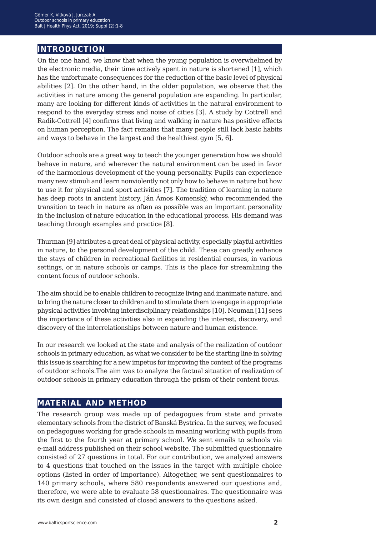## **introduction**

On the one hand, we know that when the young population is overwhelmed by the electronic media, their time actively spent in nature is shortened [1], which has the unfortunate consequences for the reduction of the basic level of physical abilities [2]. On the other hand, in the older population, we observe that the activities in nature among the general population are expanding. In particular, many are looking for different kinds of activities in the natural environment to respond to the everyday stress and noise of cities [3]. A study by Cottrell and Radik-Cottrell [4] confirms that living and walking in nature has positive effects on human perception. The fact remains that many people still lack basic habits and ways to behave in the largest and the healthiest gym [5, 6].

Outdoor schools are a great way to teach the younger generation how we should behave in nature, and wherever the natural environment can be used in favor of the harmonious development of the young personality. Pupils can experience many new stimuli and learn nonviolently not only how to behave in nature but how to use it for physical and sport activities [7]. The tradition of learning in nature has deep roots in ancient history. Ján Ámos Komenský, who recommended the transition to teach in nature as often as possible was an important personality in the inclusion of nature education in the educational process. His demand was teaching through examples and practice [8].

Thurman [9] attributes a great deal of physical activity, especially playful activities in nature, to the personal development of the child. These can greatly enhance the stays of children in recreational facilities in residential courses, in various settings, or in nature schools or camps. This is the place for streamlining the content focus of outdoor schools.

The aim should be to enable children to recognize living and inanimate nature, and to bring the nature closer to children and to stimulate them to engage in appropriate physical activities involving interdisciplinary relationships [10]. Neuman [11] sees the importance of these activities also in expanding the interest, discovery, and discovery of the interrelationships between nature and human existence.

In our research we looked at the state and analysis of the realization of outdoor schools in primary education, as what we consider to be the starting line in solving this issue is searching for a new impetus for improving the content of the programs of outdoor schools.The aim was to analyze the factual situation of realization of outdoor schools in primary education through the prism of their content focus.

## **material and method**

The research group was made up of pedagogues from state and private elementary schools from the district of Banská Bystrica. In the survey, we focused on pedagogues working for grade schools in meaning working with pupils from the first to the fourth year at primary school. We sent emails to schools via e-mail address published on their school website. The submitted questionnaire consisted of 27 questions in total. For our contribution, we analyzed answers to 4 questions that touched on the issues in the target with multiple choice options (listed in order of importance). Altogether, we sent questionnaires to 140 primary schools, where 580 respondents answered our questions and, therefore, we were able to evaluate 58 questionnaires. The questionnaire was its own design and consisted of closed answers to the questions asked.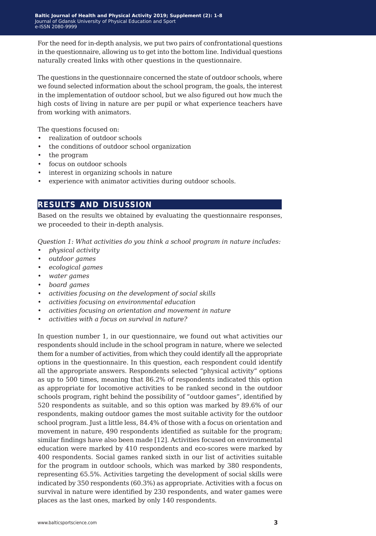For the need for in-depth analysis, we put two pairs of confrontational questions in the questionnaire, allowing us to get into the bottom line. Individual questions naturally created links with other questions in the questionnaire.

The questions in the questionnaire concerned the state of outdoor schools, where we found selected information about the school program, the goals, the interest in the implementation of outdoor school, but we also figured out how much the high costs of living in nature are per pupil or what experience teachers have from working with animators.

The questions focused on:

- realization of outdoor schools
- the conditions of outdoor school organization
- the program
- focus on outdoor schools
- interest in organizing schools in nature
- experience with animator activities during outdoor schools.

### **results and disussion**

Based on the results we obtained by evaluating the questionnaire responses, we proceeded to their in-depth analysis.

*Question 1: What activities do you think a school program in nature includes:*

- *• physical activity*
- *• outdoor games*
- *• ecological games*
- *• water games*
- *• board games*
- *• activities focusing on the development of social skills*
- *• activities focusing on environmental education*
- *• activities focusing on orientation and movement in nature*
- *• activities with a focus on survival in nature?*

In question number 1, in our questionnaire, we found out what activities our respondents should include in the school program in nature, where we selected them for a number of activities, from which they could identify all the appropriate options in the questionnaire. In this question, each respondent could identify all the appropriate answers. Respondents selected "physical activity" options as up to 500 times, meaning that 86.2% of respondents indicated this option as appropriate for locomotive activities to be ranked second in the outdoor schools program, right behind the possibility of "outdoor games", identified by 520 respondents as suitable, and so this option was marked by 89.6% of our respondents, making outdoor games the most suitable activity for the outdoor school program. Just a little less, 84.4% of those with a focus on orientation and movement in nature, 490 respondents identified as suitable for the program; similar findings have also been made [12]. Activities focused on environmental education were marked by 410 respondents and eco-scores were marked by 400 respondents. Social games ranked sixth in our list of activities suitable for the program in outdoor schools, which was marked by 380 respondents, representing 65.5%. Activities targeting the development of social skills were indicated by 350 respondents (60.3%) as appropriate. Activities with a focus on survival in nature were identified by 230 respondents, and water games were places as the last ones, marked by only 140 respondents.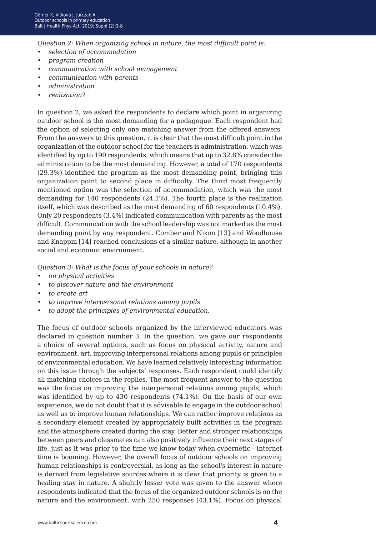*Question 2: When organizing school in nature, the most difficult point is:*

- *• selection of accommodation*
- *• program creation*
- *• communication with school management*
- *• communication with parents*
- *• administration*
- *• realization?*

In question 2, we asked the respondents to declare which point in organizing outdoor school is the most demanding for a pedagogue. Each respondent had the option of selecting only one matching answer from the offered answers. From the answers to this question, it is clear that the most difficult point in the organization of the outdoor school for the teachers is administration, which was identified by up to 190 respondents, which means that up to 32.8% consider the administration to be the most demanding. However, a total of 170 respondents (29.3%) identified the program as the most demanding point, bringing this organization point to second place in difficulty. The third most frequently mentioned option was the selection of accommodation, which was the most demanding for 140 respondents (24.1%). The fourth place is the realization itself, which was described as the most demanding of 60 respondents (10.4%). Only 20 respondents (3.4%) indicated communication with parents as the most difficult. Communication with the school leadership was not marked as the most demanding point by any respondent. Comber and Nixon [13] and Woodhouse and Knappm [14] reached conclusions of a similar nature, although in another social and economic environment.

*Question 3: What is the focus of your schools in nature?*

- *• on physical activities*
- *• to discover nature and the environment*
- *• to create art*
- *• to improve interpersonal relations among pupils*
- *• to adopt the principles of environmental education.*

The focus of outdoor schools organized by the interviewed educators was declared in question number 3. In the question, we gave our respondents a choice of several options, such as focus on physical activity, nature and environment, art, improving interpersonal relations among pupils or principles of environmental education. We have learned relatively interesting information on this issue through the subjects' responses. Each respondent could identify all matching choices in the replies. The most frequent answer to the question was the focus on improving the interpersonal relations among pupils, which was identified by up to 430 respondents (74.1%). On the basis of our own experience, we do not doubt that it is advisable to engage in the outdoor school as well as to improve human relationships. We can rather improve relations as a secondary element created by appropriately built activities in the program and the atmosphere created during the stay. Better and stronger relationships between peers and classmates can also positively influence their next stages of life, just as it was prior to the time we know today when cybernetic - Internet time is booming. However, the overall focus of outdoor schools on improving human relationships is controversial, as long as the school's interest in nature is derived from legislative sources where it is clear that priority is given to a healing stay in nature. A slightly lesser vote was given to the answer where respondents indicated that the focus of the organized outdoor schools is on the nature and the environment, with 250 responses (43.1%). Focus on physical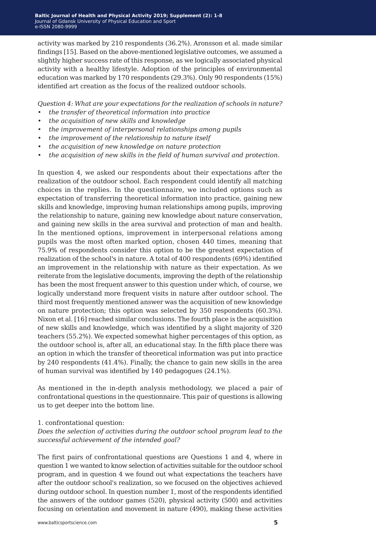activity was marked by 210 respondents (36.2%). Aronsson et al. made similar findings [15]. Based on the above-mentioned legislative outcomes, we assumed a slightly higher success rate of this response, as we logically associated physical activity with a healthy lifestyle. Adoption of the principles of environmental education was marked by 170 respondents (29.3%). Only 90 respondents (15%) identified art creation as the focus of the realized outdoor schools.

*Question 4: What are your expectations for the realization of schools in nature?*

- *• the transfer of theoretical information into practice*
- *• the acquisition of new skills and knowledge*
- *• the improvement of interpersonal relationships among pupils*
- *• the improvement of the relationship to nature itself*
- *• the acquisition of new knowledge on nature protection*
- *• the acquisition of new skills in the field of human survival and protection.*

In question 4, we asked our respondents about their expectations after the realization of the outdoor school. Each respondent could identify all matching choices in the replies. In the questionnaire, we included options such as expectation of transferring theoretical information into practice, gaining new skills and knowledge, improving human relationships among pupils, improving the relationship to nature, gaining new knowledge about nature conservation, and gaining new skills in the area survival and protection of man and health. In the mentioned options, improvement in interpersonal relations among pupils was the most often marked option, chosen 440 times, meaning that 75.9% of respondents consider this option to be the greatest expectation of realization of the school's in nature. A total of 400 respondents (69%) identified an improvement in the relationship with nature as their expectation. As we reiterate from the legislative documents, improving the depth of the relationship has been the most frequent answer to this question under which, of course, we logically understand more frequent visits in nature after outdoor school. The third most frequently mentioned answer was the acquisition of new knowledge on nature protection; this option was selected by 350 respondents (60.3%). Nixon et al. [16] reached similar conclusions. The fourth place is the acquisition of new skills and knowledge, which was identified by a slight majority of 320 teachers (55.2%). We expected somewhat higher percentages of this option, as the outdoor school is, after all, an educational stay. In the fifth place there was an option in which the transfer of theoretical information was put into practice by 240 respondents (41.4%). Finally, the chance to gain new skills in the area of human survival was identified by 140 pedagogues (24.1%).

As mentioned in the in-depth analysis methodology, we placed a pair of confrontational questions in the questionnaire. This pair of questions is allowing us to get deeper into the bottom line.

1. confrontational question:

*Does the selection of activities during the outdoor school program lead to the successful achievement of the intended goal?*

The first pairs of confrontational questions are Questions 1 and 4, where in question 1 we wanted to know selection of activities suitable for the outdoor school program, and in question 4 we found out what expectations the teachers have after the outdoor school's realization, so we focused on the objectives achieved during outdoor school. In question number 1, most of the respondents identified the answers of the outdoor games (520), physical activity (500) and activities focusing on orientation and movement in nature (490), making these activities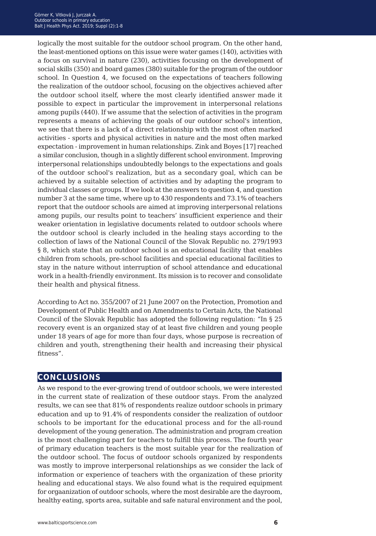logically the most suitable for the outdoor school program. On the other hand, the least-mentioned options on this issue were water games (140), activities with a focus on survival in nature (230), activities focusing on the development of social skills (350) and board games (380) suitable for the program of the outdoor school. In Question 4, we focused on the expectations of teachers following the realization of the outdoor school, focusing on the objectives achieved after the outdoor school itself, where the most clearly identified answer made it possible to expect in particular the improvement in interpersonal relations among pupils (440). If we assume that the selection of activities in the program represents a means of achieving the goals of our outdoor school's intention, we see that there is a lack of a direct relationship with the most often marked activities - sports and physical activities in nature and the most often marked expectation - improvement in human relationships. Zink and Boyes [17] reached a similar conclusion, though in a slightly different school environment. Improving interpersonal relationships undoubtedly belongs to the expectations and goals of the outdoor school's realization, but as a secondary goal, which can be achieved by a suitable selection of activities and by adapting the program to individual classes or groups. If we look at the answers to question 4, and question number 3 at the same time, where up to 430 respondents and 73.1% of teachers report that the outdoor schools are aimed at improving interpersonal relations among pupils, our results point to teachers' insufficient experience and their weaker orientation in legislative documents related to outdoor schools where the outdoor school is clearly included in the healing stays according to the collection of laws of the National Council of the Slovak Republic no. 279/1993 § 8, which state that an outdoor school is an educational facility that enables children from schools, pre-school facilities and special educational facilities to stay in the nature without interruption of school attendance and educational work in a health-friendly environment. Its mission is to recover and consolidate their health and physical fitness.

According to Act no. 355/2007 of 21 June 2007 on the Protection, Promotion and Development of Public Health and on Amendments to Certain Acts, the National Council of the Slovak Republic has adopted the following regulation: "In § 25 recovery event is an organized stay of at least five children and young people under 18 years of age for more than four days, whose purpose is recreation of children and youth, strengthening their health and increasing their physical fitness".

## **conclusions**

As we respond to the ever-growing trend of outdoor schools, we were interested in the current state of realization of these outdoor stays. From the analyzed results, we can see that 81% of respondents realize outdoor schools in primary education and up to 91.4% of respondents consider the realization of outdoor schools to be important for the educational process and for the all-round development of the young generation. The administration and program creation is the most challenging part for teachers to fulfill this process. The fourth year of primary education teachers is the most suitable year for the realization of the outdoor school. The focus of outdoor schools organized by respondents was mostly to improve interpersonal relationships as we consider the lack of information or experience of teachers with the organization of these priority healing and educational stays. We also found what is the required equipment for orgaanization of outdoor schools, where the most desirable are the dayroom, healthy eating, sports area, suitable and safe natural environment and the pool,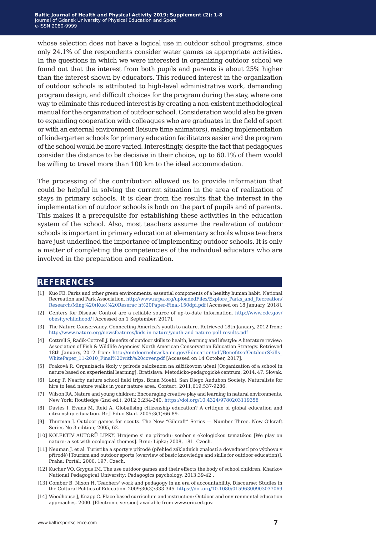whose selection does not have a logical use in outdoor school programs, since only 24.1% of the respondents consider water games as appropriate activities. In the questions in which we were interested in organizing outdoor school we found out that the interest from both pupils and parents is about 25% higher than the interest shown by educators. This reduced interest in the organization of outdoor schools is attributed to high-level administrative work, demanding program design, and difficult choices for the program during the stay, where one way to eliminate this reduced interest is by creating a non-existent methodological manual for the organization of outdoor school. Consideration would also be given to expanding cooperation with colleagues who are graduates in the field of sport or with an external environment (leisure time animators), making implementation of kindergarten schools for primary education facilitators easier and the program of the school would be more varied. Interestingly, despite the fact that pedagogues consider the distance to be decisive in their choice, up to 60.1% of them would be willing to travel more than 100 km to the ideal accommodation.

The processing of the contribution allowed us to provide information that could be helpful in solving the current situation in the area of realization of stays in primary schools. It is clear from the results that the interest in the implementation of outdoor schools is both on the part of pupils and of parents. This makes it a prerequisite for establishing these activities in the education system of the school. Also, most teachers assume the realization of outdoor schools is important in primary education at elementary schools whose teachers have just underlined the importance of implementing outdoor schools. It is only a matter of completing the competencies of the individual educators who are involved in the preparation and realization.

### **references**

- [1] Kuo FE. Parks and other green environments: essential components of a healthy human habit. National Recreation and Park Association. [http://www.nrpa.org/uploadedFiles/Explore\\_Parks\\_and\\_Recreation/](http://www.nrpa.org/uploadedFiles/Explore_Parks_and_Recreation/Research/Ming%20(Kuo)%20Reserac h%20Paper-Final-150dpi.pdf) [Research/Ming%20\(Kuo\)%20Reserac h%20Paper-Final-150dpi.pdf](http://www.nrpa.org/uploadedFiles/Explore_Parks_and_Recreation/Research/Ming%20(Kuo)%20Reserac h%20Paper-Final-150dpi.pdf) [Accessed on 18 January, 2018].
- [2] Centers for Disease Control are a reliable source of up-to-date information. [http://www.cdc.gov/](http://www.cdc.gov/obesity/childhood/ ) [obesity/childhood/ \[](http://www.cdc.gov/obesity/childhood/ )Accessed on 1 September, 2017].
- [3] The Nature Conservancy. Connecting America's youth to nature. Retrieved 18th January, 2012 from: [http://www.nature.org/newsfeatures/kids-in-nature/youth-and-nature-poll-results.pdf](http://www.nature.org/newsfeatures/kids-in-nature/youth-and-nature-poll-results.pdf
)
- [4] Cottrell S, Radik-Cottrell J. Benefits of outdoor skills to health, learning and lifestyle: A literature review: Association of Fish & Wildlife Agencies' North American Conservation Education Strategy. Retrieved 18th January, 2012 from: [http://outdoornebraska.ne.gov/Education/pdf/BenefitsofOutdoorSkills\\_](http://outdoornebraska.ne.gov/Education/pdf/BenefitsofOutdoorSkills_WhitePaper_11-2010_Final%20with%20cover.pdf) [WhitePaper\\_11-2010\\_Final%20with%20cover.pdf](http://outdoornebraska.ne.gov/Education/pdf/BenefitsofOutdoorSkills_WhitePaper_11-2010_Final%20with%20cover.pdf) [Accessed on 14 October, 2017].
- [5] Fraková R. Organizácia školy v prírode založenom na zážitkovom učení [Organization of a school in nature based on experiential learning]. Bratislava: Metodicko-pedagogické centrum; 2014, 47. Slovak.
- [6] Long P. Nearby nature school field trips. Brian Moehl, San Diego Audubon Society. Naturalists for hire to lead nature walks in your nature area. Contact. 2011;619:537‐9286.
- [7] Wilson RA. Nature and young children: Encouraging creative play and learning in natural environments. New York: Routledge (2nd ed.). 2012;3:234-240. [https://doi.org/10.4324/9780203119358](http://https://doi.org/10.4324/9780203119358)
- [8] Davies I, Evans M, Reid A. Globalising citizenship education? A critique of global education and citizenship education. Br J Educ Stud. 2005;3(1):66-89.
- [9] Thurman J. Outdoor games for scouts. The New "Gilcraft" Series Number Three. New Gilcraft Series No 3 edition; 2005, 62.
- [10] KOLEKTIV AUTORŮ LIPKY. Hrajeme si na přírodu: soubor s ekologickou tematikou [We play on nature: a set with ecological themes]. Brno: Lipka; 2008, 181. Czech.
- [11] Neuman J, et al. Turistika a sporty v přírodě (přehled základních znalostí a dovedností pro výchovu v přírodě) [Tourism and outdoor sports (overview of basic knowledge and skills for outdoor education)]. Praha: Portál; 2000, 197. Czech.
- [12] Kucher VO, Grygus IM. The use outdoor games and their effects the body of school children. Kharkov National Pedagogical University: Pedagogics psychology. 2013:39-42 .
- [13] Comber B, Nixon H. Teachers' work and pedagogy in an era of accountability. Discourse: Studies in the Cultural Politics of Education. 2009;30(3):333-345. <https://doi.org/10.1080/01596300903037069>
- [14] Woodhouse J, Knapp C. Place-based curriculum and instruction: Outdoor and environmental education approaches. 2000. [Electronic version] available from www.eric.ed.gov.